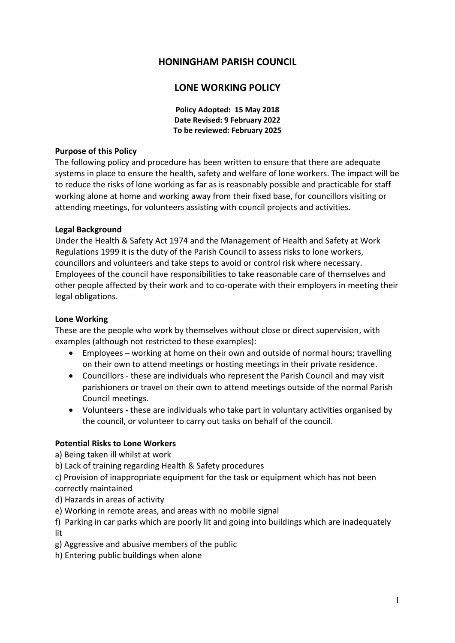# **HONINGHAM PARISH COUNCIL**

# **LONE WORKING POLICY**

**Policy Adopted: 15 May 2018 Date Revised: 9 February 2022 To be reviewed: February 2025**

### **Purpose of this Policy**

The following policy and procedure has been written to ensure that there are adequate systems in place to ensure the health, safety and welfare of lone workers. The impact will be to reduce the risks of lone working as far as is reasonably possible and practicable for staff working alone at home and working away from their fixed base, for councillors visiting or attending meetings, for volunteers assisting with council projects and activities.

#### **Legal Background**

Under the Health & Safety Act 1974 and the Management of Health and Safety at Work Regulations 1999 it is the duty of the Parish Council to assess risks to lone workers, councillors and volunteers and take steps to avoid or control risk where necessary. Employees of the council have responsibilities to take reasonable care of themselves and other people affected by their work and to co-operate with their employers in meeting their legal obligations.

#### **Lone Working**

These are the people who work by themselves without close or direct supervision, with examples (although not restricted to these examples):

- Employees working at home on their own and outside of normal hours; travelling on their own to attend meetings or hosting meetings in their private residence.
- Councillors these are individuals who represent the Parish Council and may visit parishioners or travel on their own to attend meetings outside of the normal Parish Council meetings.
- Volunteers these are individuals who take part in voluntary activities organised by the council, or volunteer to carry out tasks on behalf of the council.

### **Potential Risks to Lone Workers**

a) Being taken ill whilst at work

b) Lack of training regarding Health & Safety procedures

c) Provision of inappropriate equipment for the task or equipment which has not been correctly maintained

- d) Hazards in areas of activity
- e) Working in remote areas, and areas with no mobile signal

f) Parking in car parks which are poorly lit and going into buildings which are inadequately lit

g) Aggressive and abusive members of the public

h) Entering public buildings when alone